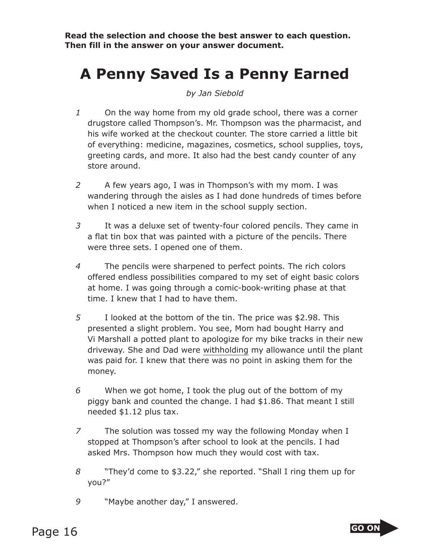**Read the selection and choose the best answer to each question. Then fill in the answer on your answer document.**

## **A Penny Saved Is a Penny Earned**

*by Jan Siebold*

- *1* On the way home from my old grade school, there was a corner drugstore called Thompson's. Mr. Thompson was the pharmacist, and his wife worked at the checkout counter. The store carried a little bit of everything: medicine, magazines, cosmetics, school supplies, toys, greeting cards, and more. It also had the best candy counter of any store around.
- *2* A few years ago, I was in Thompson's with my mom. I was wandering through the aisles as I had done hundreds of times before when I noticed a new item in the school supply section.
- *3* It was a deluxe set of twenty-four colored pencils. They came in a flat tin box that was painted with a picture of the pencils. There were three sets. I opened one of them.
- *4* The pencils were sharpened to perfect points. The rich colors offered endless possibilities compared to my set of eight basic colors at home. I was going through a comic-book-writing phase at that time. I knew that I had to have them.
- *5* I looked at the bottom of the tin. The price was \$2.98. This presented a slight problem. You see, Mom had bought Harry and Vi Marshall a potted plant to apologize for my bike tracks in their new driveway. She and Dad were withholding my allowance until the plant was paid for. I knew that there was no point in asking them for the money.
- *6* When we got home, I took the plug out of the bottom of my piggy bank and counted the change. I had \$1.86. That meant I still needed \$1.12 plus tax.
- *7* The solution was tossed my way the following Monday when I stopped at Thompson's after school to look at the pencils. I had asked Mrs. Thompson how much they would cost with tax.
- *8* "They'd come to \$3.22," she reported. "Shall I ring them up for you?"
- *9* "Maybe another day," I answered.

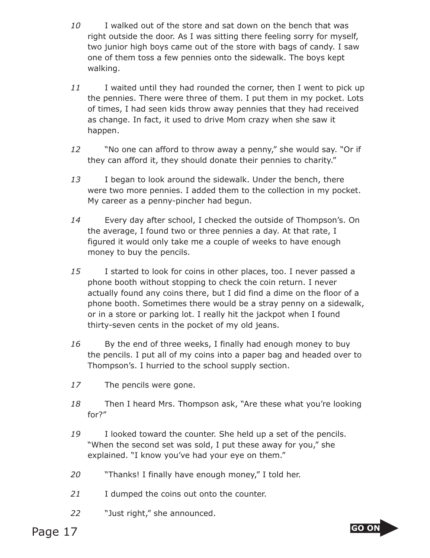- *10* I walked out of the store and sat down on the bench that was right outside the door. As I was sitting there feeling sorry for myself, two junior high boys came out of the store with bags of candy. I saw one of them toss a few pennies onto the sidewalk. The boys kept walking.
- *11* I waited until they had rounded the corner, then I went to pick up the pennies. There were three of them. I put them in my pocket. Lots of times, I had seen kids throw away pennies that they had received as change. In fact, it used to drive Mom crazy when she saw it happen.
- *12* "No one can afford to throw away a penny," she would say. "Or if they can afford it, they should donate their pennies to charity."
- *13* I began to look around the sidewalk. Under the bench, there were two more pennies. I added them to the collection in my pocket. My career as a penny-pincher had begun.
- *14* Every day after school, I checked the outside of Thompson's. On the average, I found two or three pennies a day. At that rate, I figured it would only take me a couple of weeks to have enough money to buy the pencils.
- *15* I started to look for coins in other places, too. I never passed a phone booth without stopping to check the coin return. I never actually found any coins there, but I did find a dime on the floor of a phone booth. Sometimes there would be a stray penny on a sidewalk, or in a store or parking lot. I really hit the jackpot when I found thirty-seven cents in the pocket of my old jeans.
- 16 By the end of three weeks, I finally had enough money to buy the pencils. I put all of my coins into a paper bag and headed over to Thompson's. I hurried to the school supply section.
- *17* The pencils were gone.
- *18* Then I heard Mrs. Thompson ask, "Are these what you're looking for?"
- *19* I looked toward the counter. She held up a set of the pencils. "When the second set was sold, I put these away for you," she explained. "I know you've had your eye on them."
- *20* "Thanks! I finally have enough money," I told her.
- *21* I dumped the coins out onto the counter.
- *22* "Just right," she announced.

Page 17 **Go ON** 

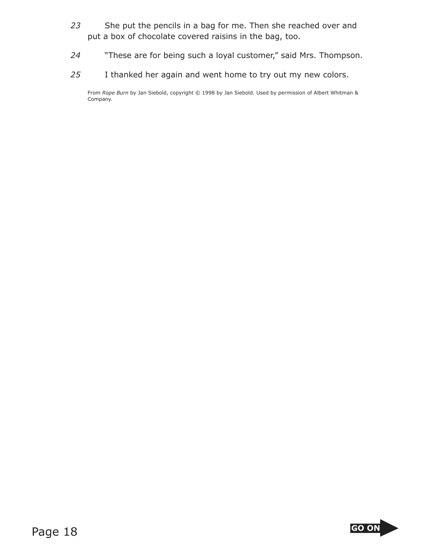- *23* She put the pencils in a bag for me. Then she reached over and put a box of chocolate covered raisins in the bag, too.
- *24* "These are for being such a loyal customer," said Mrs. Thompson.
- *25* I thanked her again and went home to try out my new colors.

From *Rope Burn* by Jan Siebold, copyright © 1998 by Jan Siebold. Used by permission of Albert Whitman & Company.

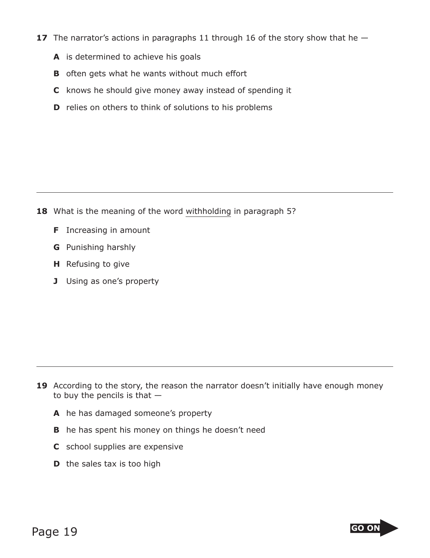- **17** The narrator's actions in paragraphs 11 through 16 of the story show that he  $-$ 
	- **A** is determined to achieve his goals
	- **B** often gets what he wants without much effort
	- **C** knows he should give money away instead of spending it
	- **D** relies on others to think of solutions to his problems

- **18** What is the meaning of the word withholding in paragraph 5?
	- **F** Increasing in amount
	- **G** Punishing harshly
	- **H** Refusing to give
	- **J** Using as one's property

- **19** According to the story, the reason the narrator doesn't initially have enough money to buy the pencils is that  $-$ 
	- **A** he has damaged someone's property
	- **B** he has spent his money on things he doesn't need
	- **C** school supplies are expensive
	- **D** the sales tax is too high

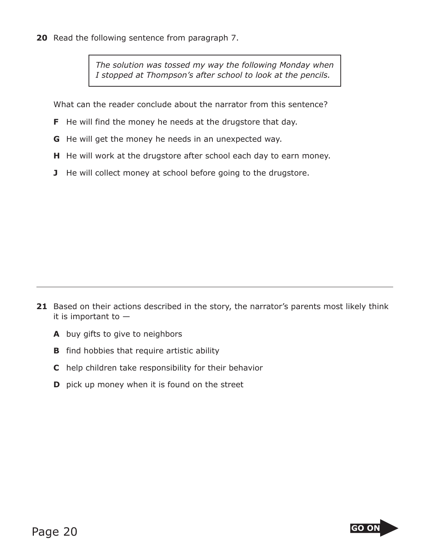**20** Read the following sentence from paragraph 7.

*The solution was tossed my way the following Monday when I stopped at Thompson's after school to look at the pencils.*

What can the reader conclude about the narrator from this sentence?

- **F** He will find the money he needs at the drugstore that day.
- **G** He will get the money he needs in an unexpected way.
- **H** He will work at the drugstore after school each day to earn money.
- **J** He will collect money at school before going to the drugstore.

- **21** Based on their actions described in the story, the narrator's parents most likely think it is important to —
	- **A** buy gifts to give to neighbors
	- **B** find hobbies that require artistic ability
	- **C** help children take responsibility for their behavior
	- **D** pick up money when it is found on the street

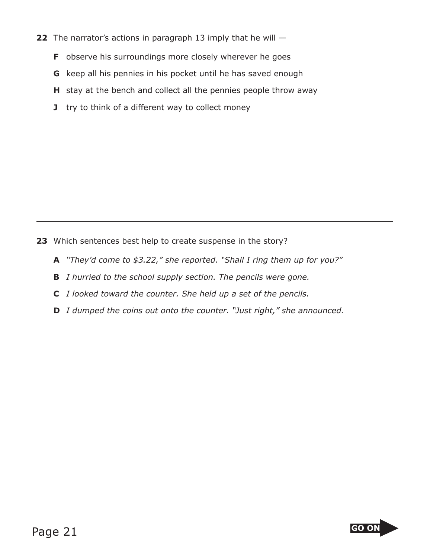- **22** The narrator's actions in paragraph 13 imply that he will
	- **F** observe his surroundings more closely wherever he goes
	- **G** keep all his pennies in his pocket until he has saved enough
	- **H** stay at the bench and collect all the pennies people throw away
	- **J** try to think of a different way to collect money

- **23** Which sentences best help to create suspense in the story?
	- **A** *"They'd come to \$3.22," she reported. "Shall I ring them up for you?"*
	- **B** *I hurried to the school supply section. The pencils were gone.*
	- **C** *I looked toward the counter. She held up a set of the pencils.*
	- **D** *I dumped the coins out onto the counter. "Just right," she announced.*